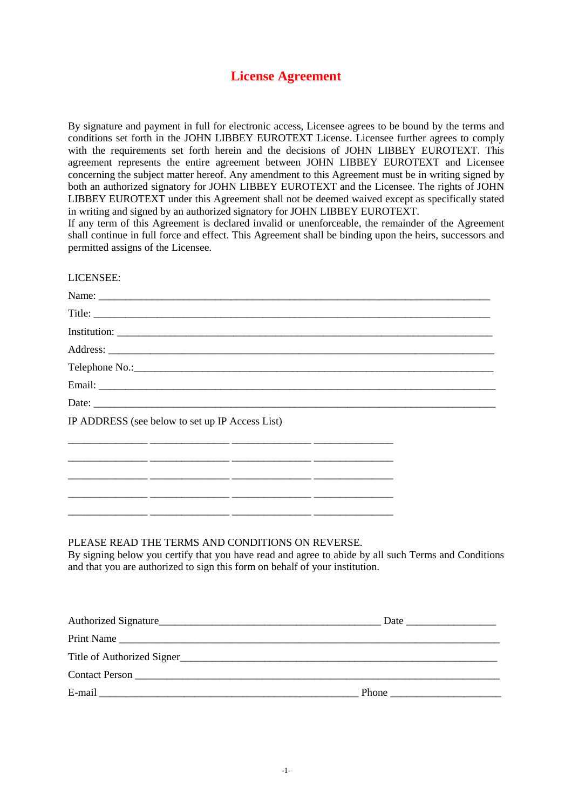# **License Agreement**

By signature and payment in full for electronic access, Licensee agrees to be bound by the terms and conditions set forth in the JOHN LIBBEY EUROTEXT License. Licensee further agrees to comply with the requirements set forth herein and the decisions of JOHN LIBBEY EUROTEXT. This agreement represents the entire agreement between JOHN LIBBEY EUROTEXT and Licensee concerning the subject matter hereof. Any amendment to this Agreement must be in writing signed by both an authorized signatory for JOHN LIBBEY EUROTEXT and the Licensee. The rights of JOHN LIBBEY EUROTEXT under this Agreement shall not be deemed waived except as specifically stated in writing and signed by an authorized signatory for JOHN LIBBEY EUROTEXT.

If any term of this Agreement is declared invalid or unenforceable, the remainder of the Agreement shall continue in full force and effect. This Agreement shall be binding upon the heirs, successors and permitted assigns of the Licensee.

| LICENSEE:                                       |
|-------------------------------------------------|
|                                                 |
|                                                 |
|                                                 |
|                                                 |
|                                                 |
|                                                 |
|                                                 |
| IP ADDRESS (see below to set up IP Access List) |
|                                                 |
|                                                 |
|                                                 |
|                                                 |
|                                                 |

#### PLEASE READ THE TERMS AND CONDITIONS ON REVERSE.

\_\_\_\_\_\_\_\_\_\_\_\_\_\_\_ \_\_\_\_\_\_\_\_\_\_\_\_\_\_\_ \_\_\_\_\_\_\_\_\_\_\_\_\_\_\_ \_\_\_\_\_\_\_\_\_\_\_\_\_\_\_

By signing below you certify that you have read and agree to abide by all such Terms and Conditions and that you are authorized to sign this form on behalf of your institution.

| Print Name                 |                               |
|----------------------------|-------------------------------|
| Title of Authorized Signer |                               |
|                            |                               |
|                            | Phone <u>________________</u> |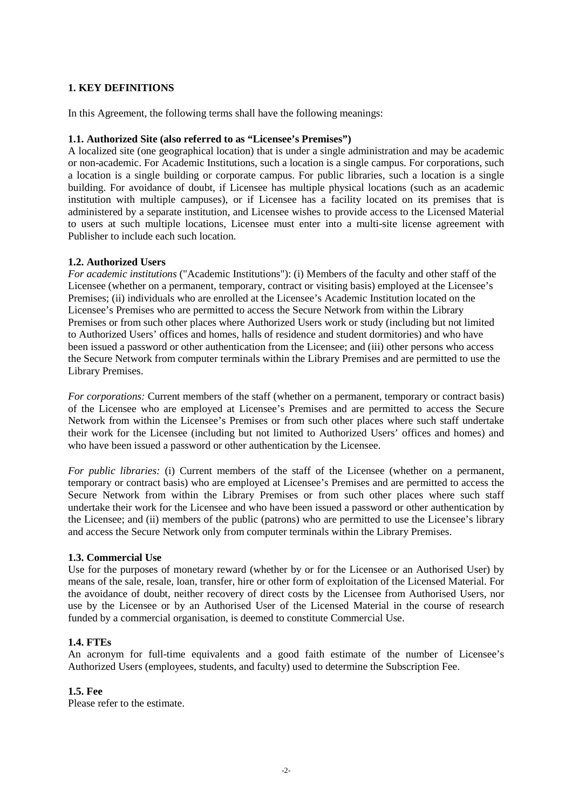# **1. KEY DEFINITIONS**

In this Agreement, the following terms shall have the following meanings:

## **1.1. Authorized Site (also referred to as "Licensee's Premises")**

A localized site (one geographical location) that is under a single administration and may be academic or non-academic. For Academic Institutions, such a location is a single campus. For corporations, such a location is a single building or corporate campus. For public libraries, such a location is a single building. For avoidance of doubt, if Licensee has multiple physical locations (such as an academic institution with multiple campuses), or if Licensee has a facility located on its premises that is administered by a separate institution, and Licensee wishes to provide access to the Licensed Material to users at such multiple locations, Licensee must enter into a multi-site license agreement with Publisher to include each such location.

## **1.2. Authorized Users**

*For academic institutions* ("Academic Institutions"): (i) Members of the faculty and other staff of the Licensee (whether on a permanent, temporary, contract or visiting basis) employed at the Licensee's Premises; (ii) individuals who are enrolled at the Licensee's Academic Institution located on the Licensee's Premises who are permitted to access the Secure Network from within the Library Premises or from such other places where Authorized Users work or study (including but not limited to Authorized Users' offices and homes, halls of residence and student dormitories) and who have been issued a password or other authentication from the Licensee; and (iii) other persons who access the Secure Network from computer terminals within the Library Premises and are permitted to use the Library Premises.

*For corporations:* Current members of the staff (whether on a permanent, temporary or contract basis) of the Licensee who are employed at Licensee's Premises and are permitted to access the Secure Network from within the Licensee's Premises or from such other places where such staff undertake their work for the Licensee (including but not limited to Authorized Users' offices and homes) and who have been issued a password or other authentication by the Licensee.

*For public libraries:* (i) Current members of the staff of the Licensee (whether on a permanent, temporary or contract basis) who are employed at Licensee's Premises and are permitted to access the Secure Network from within the Library Premises or from such other places where such staff undertake their work for the Licensee and who have been issued a password or other authentication by the Licensee; and (ii) members of the public (patrons) who are permitted to use the Licensee's library and access the Secure Network only from computer terminals within the Library Premises.

#### **1.3. Commercial Use**

Use for the purposes of monetary reward (whether by or for the Licensee or an Authorised User) by means of the sale, resale, loan, transfer, hire or other form of exploitation of the Licensed Material. For the avoidance of doubt, neither recovery of direct costs by the Licensee from Authorised Users, nor use by the Licensee or by an Authorised User of the Licensed Material in the course of research funded by a commercial organisation, is deemed to constitute Commercial Use.

#### **1.4. FTEs**

An acronym for full-time equivalents and a good faith estimate of the number of Licensee's Authorized Users (employees, students, and faculty) used to determine the Subscription Fee.

#### **1.5. Fee**

Please refer to the estimate.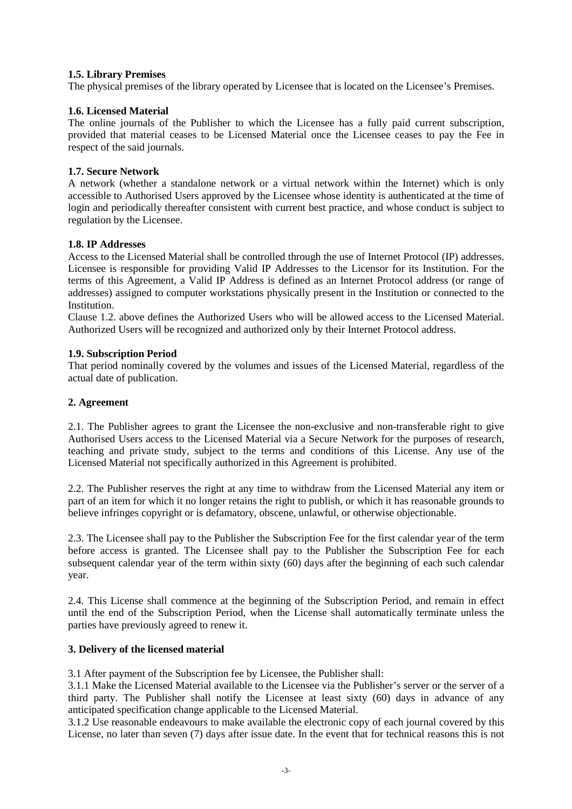## **1.5. Library Premises**

The physical premises of the library operated by Licensee that is located on the Licensee's Premises.

## **1.6. Licensed Material**

The online journals of the Publisher to which the Licensee has a fully paid current subscription, provided that material ceases to be Licensed Material once the Licensee ceases to pay the Fee in respect of the said journals.

## **1.7. Secure Network**

A network (whether a standalone network or a virtual network within the Internet) which is only accessible to Authorised Users approved by the Licensee whose identity is authenticated at the time of login and periodically thereafter consistent with current best practice, and whose conduct is subject to regulation by the Licensee.

## **1.8. IP Addresses**

Access to the Licensed Material shall be controlled through the use of Internet Protocol (IP) addresses. Licensee is responsible for providing Valid IP Addresses to the Licensor for its Institution. For the terms of this Agreement, a Valid IP Address is defined as an Internet Protocol address (or range of addresses) assigned to computer workstations physically present in the Institution or connected to the **Institution** 

Clause 1.2. above defines the Authorized Users who will be allowed access to the Licensed Material. Authorized Users will be recognized and authorized only by their Internet Protocol address.

## **1.9. Subscription Period**

That period nominally covered by the volumes and issues of the Licensed Material, regardless of the actual date of publication.

## **2. Agreement**

2.1. The Publisher agrees to grant the Licensee the non-exclusive and non-transferable right to give Authorised Users access to the Licensed Material via a Secure Network for the purposes of research, teaching and private study, subject to the terms and conditions of this License. Any use of the Licensed Material not specifically authorized in this Agreement is prohibited.

2.2. The Publisher reserves the right at any time to withdraw from the Licensed Material any item or part of an item for which it no longer retains the right to publish, or which it has reasonable grounds to believe infringes copyright or is defamatory, obscene, unlawful, or otherwise objectionable.

2.3. The Licensee shall pay to the Publisher the Subscription Fee for the first calendar year of the term before access is granted. The Licensee shall pay to the Publisher the Subscription Fee for each subsequent calendar year of the term within sixty (60) days after the beginning of each such calendar year.

2.4. This License shall commence at the beginning of the Subscription Period, and remain in effect until the end of the Subscription Period, when the License shall automatically terminate unless the parties have previously agreed to renew it.

#### **3. Delivery of the licensed material**

3.1 After payment of the Subscription fee by Licensee, the Publisher shall:

3.1.1 Make the Licensed Material available to the Licensee via the Publisher's server or the server of a third party. The Publisher shall notify the Licensee at least sixty (60) days in advance of any anticipated specification change applicable to the Licensed Material.

3.1.2 Use reasonable endeavours to make available the electronic copy of each journal covered by this License, no later than seven (7) days after issue date. In the event that for technical reasons this is not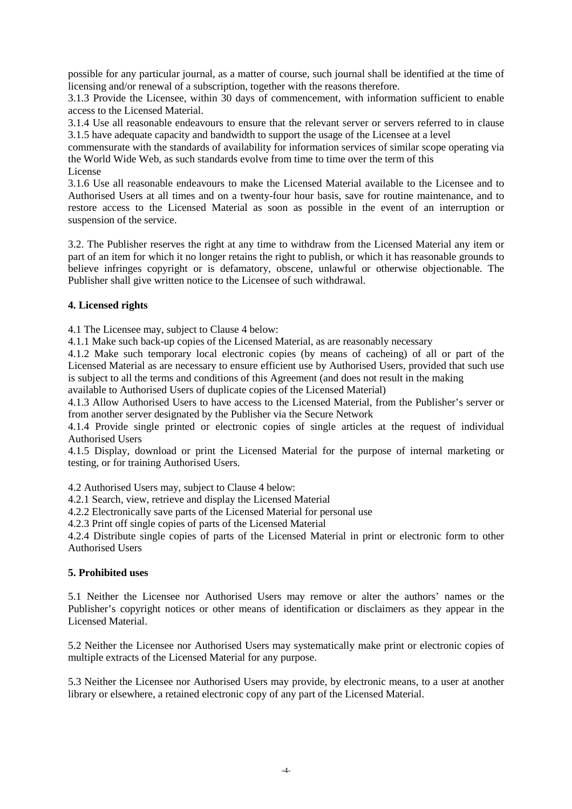possible for any particular journal, as a matter of course, such journal shall be identified at the time of licensing and/or renewal of a subscription, together with the reasons therefore.

3.1.3 Provide the Licensee, within 30 days of commencement, with information sufficient to enable access to the Licensed Material.

3.1.4 Use all reasonable endeavours to ensure that the relevant server or servers referred to in clause 3.1.5 have adequate capacity and bandwidth to support the usage of the Licensee at a level

commensurate with the standards of availability for information services of similar scope operating via the World Wide Web, as such standards evolve from time to time over the term of this License

3.1.6 Use all reasonable endeavours to make the Licensed Material available to the Licensee and to Authorised Users at all times and on a twenty-four hour basis, save for routine maintenance, and to restore access to the Licensed Material as soon as possible in the event of an interruption or suspension of the service.

3.2. The Publisher reserves the right at any time to withdraw from the Licensed Material any item or part of an item for which it no longer retains the right to publish, or which it has reasonable grounds to believe infringes copyright or is defamatory, obscene, unlawful or otherwise objectionable. The Publisher shall give written notice to the Licensee of such withdrawal.

# **4. Licensed rights**

4.1 The Licensee may, subject to Clause 4 below:

4.1.1 Make such back-up copies of the Licensed Material, as are reasonably necessary

4.1.2 Make such temporary local electronic copies (by means of cacheing) of all or part of the Licensed Material as are necessary to ensure efficient use by Authorised Users, provided that such use is subject to all the terms and conditions of this Agreement (and does not result in the making

available to Authorised Users of duplicate copies of the Licensed Material)

4.1.3 Allow Authorised Users to have access to the Licensed Material, from the Publisher's server or from another server designated by the Publisher via the Secure Network

4.1.4 Provide single printed or electronic copies of single articles at the request of individual Authorised Users

4.1.5 Display, download or print the Licensed Material for the purpose of internal marketing or testing, or for training Authorised Users.

4.2 Authorised Users may, subject to Clause 4 below:

4.2.1 Search, view, retrieve and display the Licensed Material

4.2.2 Electronically save parts of the Licensed Material for personal use

4.2.3 Print off single copies of parts of the Licensed Material

4.2.4 Distribute single copies of parts of the Licensed Material in print or electronic form to other Authorised Users

#### **5. Prohibited uses**

5.1 Neither the Licensee nor Authorised Users may remove or alter the authors' names or the Publisher's copyright notices or other means of identification or disclaimers as they appear in the Licensed Material.

5.2 Neither the Licensee nor Authorised Users may systematically make print or electronic copies of multiple extracts of the Licensed Material for any purpose.

5.3 Neither the Licensee nor Authorised Users may provide, by electronic means, to a user at another library or elsewhere, a retained electronic copy of any part of the Licensed Material.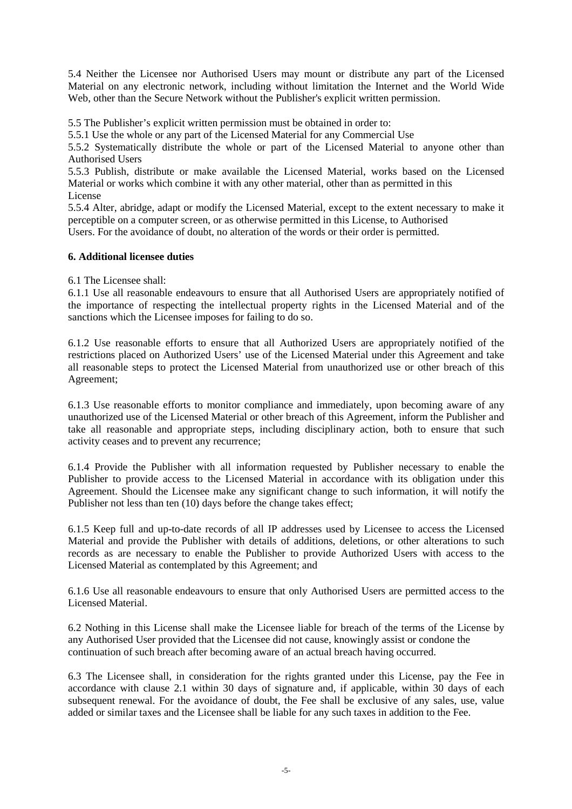5.4 Neither the Licensee nor Authorised Users may mount or distribute any part of the Licensed Material on any electronic network, including without limitation the Internet and the World Wide Web, other than the Secure Network without the Publisher's explicit written permission.

5.5 The Publisher's explicit written permission must be obtained in order to:

5.5.1 Use the whole or any part of the Licensed Material for any Commercial Use

5.5.2 Systematically distribute the whole or part of the Licensed Material to anyone other than Authorised Users

5.5.3 Publish, distribute or make available the Licensed Material, works based on the Licensed Material or works which combine it with any other material, other than as permitted in this License

5.5.4 Alter, abridge, adapt or modify the Licensed Material, except to the extent necessary to make it perceptible on a computer screen, or as otherwise permitted in this License, to Authorised Users. For the avoidance of doubt, no alteration of the words or their order is permitted.

#### **6. Additional licensee duties**

6.1 The Licensee shall:

6.1.1 Use all reasonable endeavours to ensure that all Authorised Users are appropriately notified of the importance of respecting the intellectual property rights in the Licensed Material and of the sanctions which the Licensee imposes for failing to do so.

6.1.2 Use reasonable efforts to ensure that all Authorized Users are appropriately notified of the restrictions placed on Authorized Users' use of the Licensed Material under this Agreement and take all reasonable steps to protect the Licensed Material from unauthorized use or other breach of this Agreement;

6.1.3 Use reasonable efforts to monitor compliance and immediately, upon becoming aware of any unauthorized use of the Licensed Material or other breach of this Agreement, inform the Publisher and take all reasonable and appropriate steps, including disciplinary action, both to ensure that such activity ceases and to prevent any recurrence;

6.1.4 Provide the Publisher with all information requested by Publisher necessary to enable the Publisher to provide access to the Licensed Material in accordance with its obligation under this Agreement. Should the Licensee make any significant change to such information, it will notify the Publisher not less than ten (10) days before the change takes effect;

6.1.5 Keep full and up-to-date records of all IP addresses used by Licensee to access the Licensed Material and provide the Publisher with details of additions, deletions, or other alterations to such records as are necessary to enable the Publisher to provide Authorized Users with access to the Licensed Material as contemplated by this Agreement; and

6.1.6 Use all reasonable endeavours to ensure that only Authorised Users are permitted access to the Licensed Material.

6.2 Nothing in this License shall make the Licensee liable for breach of the terms of the License by any Authorised User provided that the Licensee did not cause, knowingly assist or condone the continuation of such breach after becoming aware of an actual breach having occurred.

6.3 The Licensee shall, in consideration for the rights granted under this License, pay the Fee in accordance with clause 2.1 within 30 days of signature and, if applicable, within 30 days of each subsequent renewal. For the avoidance of doubt, the Fee shall be exclusive of any sales, use, value added or similar taxes and the Licensee shall be liable for any such taxes in addition to the Fee.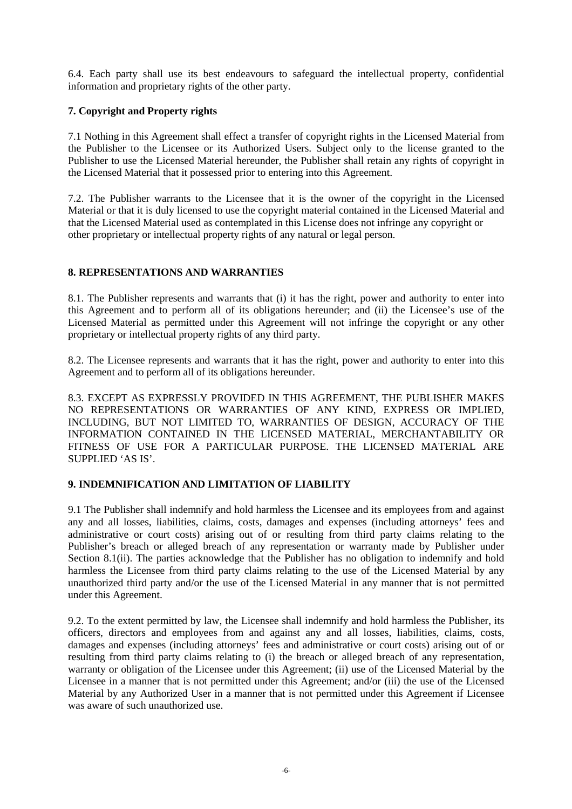6.4. Each party shall use its best endeavours to safeguard the intellectual property, confidential information and proprietary rights of the other party.

# **7. Copyright and Property rights**

7.1 Nothing in this Agreement shall effect a transfer of copyright rights in the Licensed Material from the Publisher to the Licensee or its Authorized Users. Subject only to the license granted to the Publisher to use the Licensed Material hereunder, the Publisher shall retain any rights of copyright in the Licensed Material that it possessed prior to entering into this Agreement.

7.2. The Publisher warrants to the Licensee that it is the owner of the copyright in the Licensed Material or that it is duly licensed to use the copyright material contained in the Licensed Material and that the Licensed Material used as contemplated in this License does not infringe any copyright or other proprietary or intellectual property rights of any natural or legal person.

# **8. REPRESENTATIONS AND WARRANTIES**

8.1. The Publisher represents and warrants that (i) it has the right, power and authority to enter into this Agreement and to perform all of its obligations hereunder; and (ii) the Licensee's use of the Licensed Material as permitted under this Agreement will not infringe the copyright or any other proprietary or intellectual property rights of any third party.

8.2. The Licensee represents and warrants that it has the right, power and authority to enter into this Agreement and to perform all of its obligations hereunder.

8.3. EXCEPT AS EXPRESSLY PROVIDED IN THIS AGREEMENT, THE PUBLISHER MAKES NO REPRESENTATIONS OR WARRANTIES OF ANY KIND, EXPRESS OR IMPLIED, INCLUDING, BUT NOT LIMITED TO, WARRANTIES OF DESIGN, ACCURACY OF THE INFORMATION CONTAINED IN THE LICENSED MATERIAL, MERCHANTABILITY OR FITNESS OF USE FOR A PARTICULAR PURPOSE. THE LICENSED MATERIAL ARE SUPPLIED 'AS IS'.

# **9. INDEMNIFICATION AND LIMITATION OF LIABILITY**

9.1 The Publisher shall indemnify and hold harmless the Licensee and its employees from and against any and all losses, liabilities, claims, costs, damages and expenses (including attorneys' fees and administrative or court costs) arising out of or resulting from third party claims relating to the Publisher's breach or alleged breach of any representation or warranty made by Publisher under Section 8.1(ii). The parties acknowledge that the Publisher has no obligation to indemnify and hold harmless the Licensee from third party claims relating to the use of the Licensed Material by any unauthorized third party and/or the use of the Licensed Material in any manner that is not permitted under this Agreement.

9.2. To the extent permitted by law, the Licensee shall indemnify and hold harmless the Publisher, its officers, directors and employees from and against any and all losses, liabilities, claims, costs, damages and expenses (including attorneys' fees and administrative or court costs) arising out of or resulting from third party claims relating to (i) the breach or alleged breach of any representation, warranty or obligation of the Licensee under this Agreement; (ii) use of the Licensed Material by the Licensee in a manner that is not permitted under this Agreement; and/or (iii) the use of the Licensed Material by any Authorized User in a manner that is not permitted under this Agreement if Licensee was aware of such unauthorized use.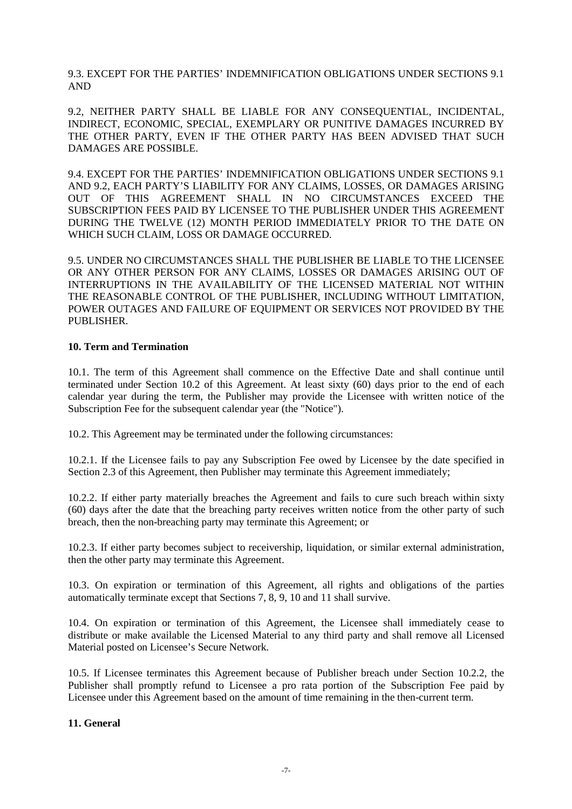9.3. EXCEPT FOR THE PARTIES' INDEMNIFICATION OBLIGATIONS UNDER SECTIONS 9.1 AND

9.2, NEITHER PARTY SHALL BE LIABLE FOR ANY CONSEQUENTIAL, INCIDENTAL, INDIRECT, ECONOMIC, SPECIAL, EXEMPLARY OR PUNITIVE DAMAGES INCURRED BY THE OTHER PARTY, EVEN IF THE OTHER PARTY HAS BEEN ADVISED THAT SUCH DAMAGES ARE POSSIBLE.

9.4. EXCEPT FOR THE PARTIES' INDEMNIFICATION OBLIGATIONS UNDER SECTIONS 9.1 AND 9.2, EACH PARTY'S LIABILITY FOR ANY CLAIMS, LOSSES, OR DAMAGES ARISING OUT OF THIS AGREEMENT SHALL IN NO CIRCUMSTANCES EXCEED THE SUBSCRIPTION FEES PAID BY LICENSEE TO THE PUBLISHER UNDER THIS AGREEMENT DURING THE TWELVE (12) MONTH PERIOD IMMEDIATELY PRIOR TO THE DATE ON WHICH SUCH CLAIM, LOSS OR DAMAGE OCCURRED.

9.5. UNDER NO CIRCUMSTANCES SHALL THE PUBLISHER BE LIABLE TO THE LICENSEE OR ANY OTHER PERSON FOR ANY CLAIMS, LOSSES OR DAMAGES ARISING OUT OF INTERRUPTIONS IN THE AVAILABILITY OF THE LICENSED MATERIAL NOT WITHIN THE REASONABLE CONTROL OF THE PUBLISHER, INCLUDING WITHOUT LIMITATION, POWER OUTAGES AND FAILURE OF EQUIPMENT OR SERVICES NOT PROVIDED BY THE PUBLISHER.

#### **10. Term and Termination**

10.1. The term of this Agreement shall commence on the Effective Date and shall continue until terminated under Section 10.2 of this Agreement. At least sixty (60) days prior to the end of each calendar year during the term, the Publisher may provide the Licensee with written notice of the Subscription Fee for the subsequent calendar year (the "Notice").

10.2. This Agreement may be terminated under the following circumstances:

10.2.1. If the Licensee fails to pay any Subscription Fee owed by Licensee by the date specified in Section 2.3 of this Agreement, then Publisher may terminate this Agreement immediately;

10.2.2. If either party materially breaches the Agreement and fails to cure such breach within sixty (60) days after the date that the breaching party receives written notice from the other party of such breach, then the non-breaching party may terminate this Agreement; or

10.2.3. If either party becomes subject to receivership, liquidation, or similar external administration, then the other party may terminate this Agreement.

10.3. On expiration or termination of this Agreement, all rights and obligations of the parties automatically terminate except that Sections 7, 8, 9, 10 and 11 shall survive.

10.4. On expiration or termination of this Agreement, the Licensee shall immediately cease to distribute or make available the Licensed Material to any third party and shall remove all Licensed Material posted on Licensee's Secure Network.

10.5. If Licensee terminates this Agreement because of Publisher breach under Section 10.2.2, the Publisher shall promptly refund to Licensee a pro rata portion of the Subscription Fee paid by Licensee under this Agreement based on the amount of time remaining in the then-current term.

# **11. General**